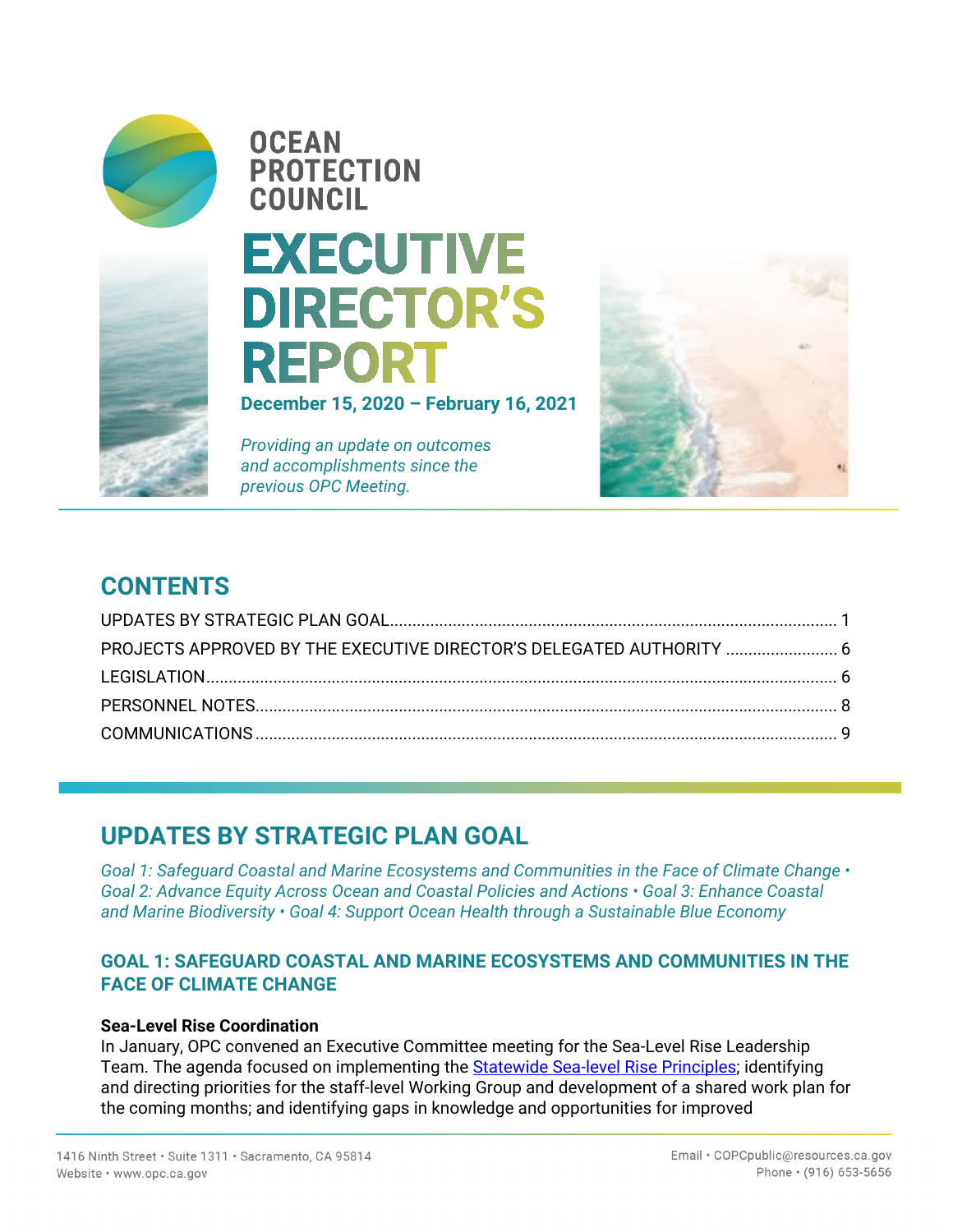

# **OCEAN PROTECTION COUNCIL**

# **EXECUTIVE DIRECTOR'S REPORT**

**December 15, 2020 – February 16, 2021** 

*Providing an update on outcomes and accomplishments since the previous OPC Meeting.*



# **CONTENTS**

| PROJECTS APPROVED BY THE EXECUTIVE DIRECTOR'S DELEGATED AUTHORITY  6 |  |
|----------------------------------------------------------------------|--|
|                                                                      |  |
|                                                                      |  |
|                                                                      |  |

# **UPDATES BY STRATEGIC PLAN GOAL**

*Goal 1: Safeguard Coastal and Marine Ecosystems and Communities in the Face of Climate Change • Goal 2: Advance Equity Across Ocean and Coastal Policies and Actions • Goal 3: Enhance Coastal and Marine Biodiversity • Goal 4: Support Ocean Health through a Sustainable Blue Economy* 

## **GOAL 1: SAFEGUARD COASTAL AND MARINE ECOSYSTEMS AND COMMUNITIES IN THE FACE OF CLIMATE CHANGE**

#### **Sea-Level Rise Coordination**

In January, OPC convened an Executive Committee meeting for the Sea-Level Rise Leadership Team. The agenda focused on implementing the **Statewide Sea-level Rise Principles**; identifying and directing priorities for the staff-level Working Group and development of a shared work plan for the coming months; and identifying gaps in knowledge and opportunities for improved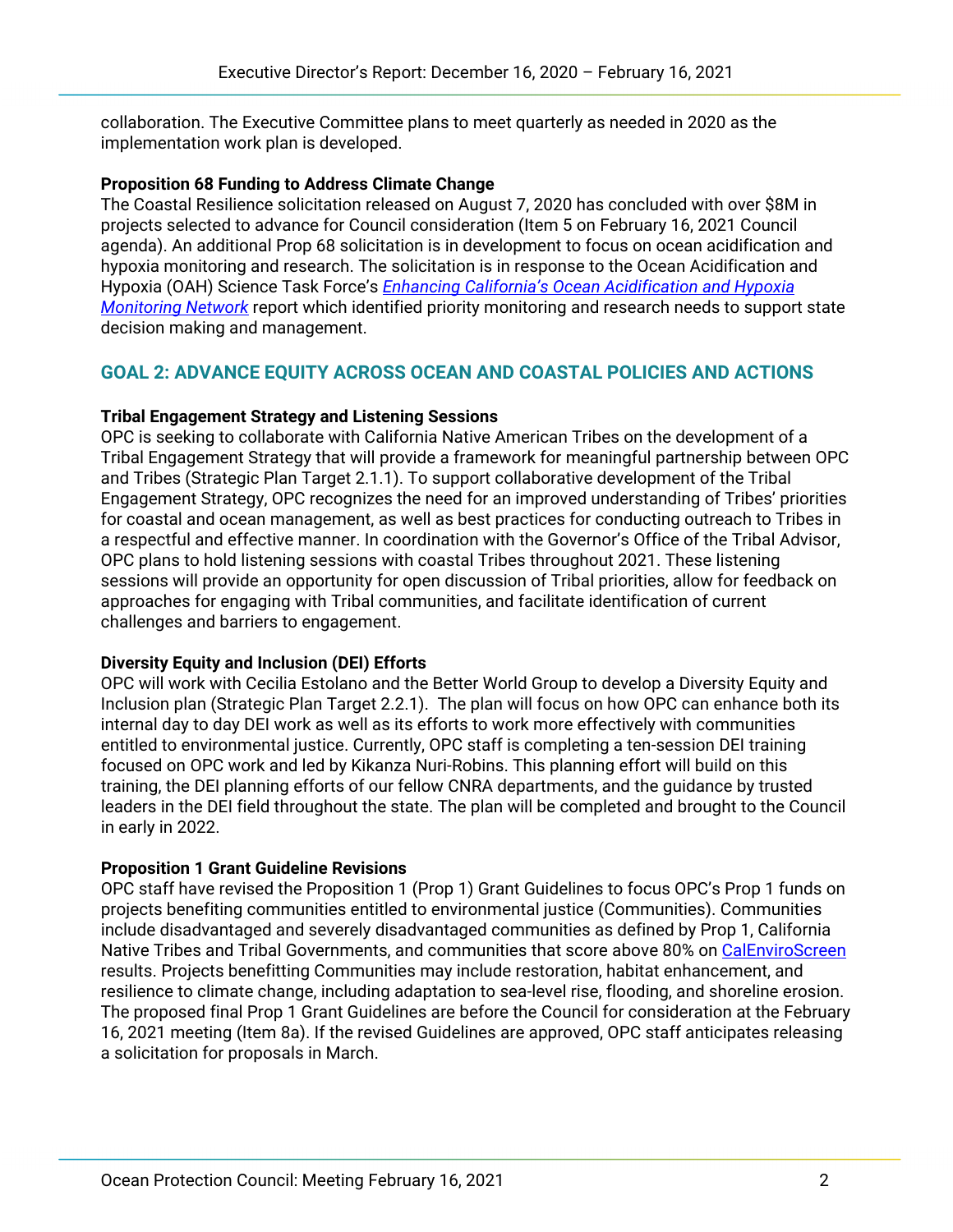collaboration. The Executive Committee plans to meet quarterly as needed in 2020 as the implementation work plan is developed.

#### **Proposition 68 Funding to Address Climate Change**

The Coastal Resilience solicitation released on August 7, 2020 has concluded with over \$8M in projects selected to advance for Council consideration (Item 5 on February 16, 2021 Council agenda). An additional Prop 68 solicitation is in development to focus on ocean acidification and hypoxia monitoring and research. The solicitation is in response to the Ocean Acidification and Hypoxia (OAH) Science Task Force's *[Enhancing California's Ocean Acidification and Hypoxia](http://westcoastoah.org/wp-content/uploads/2020/06/Enhancing-California%E2%80%99s-Ocean-Acidification-and-Hypoxia-Monitoring-Network.pdf)  [Monitoring Network](http://westcoastoah.org/wp-content/uploads/2020/06/Enhancing-California%E2%80%99s-Ocean-Acidification-and-Hypoxia-Monitoring-Network.pdf)* report which identified priority monitoring and research needs to support state decision making and management.

## **GOAL 2: ADVANCE EQUITY ACROSS OCEAN AND COASTAL POLICIES AND ACTIONS**

#### **Tribal Engagement Strategy and Listening Sessions**

OPC is seeking to collaborate with California Native American Tribes on the development of a Tribal Engagement Strategy that will provide a framework for meaningful partnership between OPC and Tribes (Strategic Plan Target 2.1.1). To support collaborative development of the Tribal Engagement Strategy, OPC recognizes the need for an improved understanding of Tribes' priorities for coastal and ocean management, as well as best practices for conducting outreach to Tribes in a respectful and effective manner. In coordination with the Governor's Office of the Tribal Advisor, OPC plans to hold listening sessions with coastal Tribes throughout 2021. These listening sessions will provide an opportunity for open discussion of Tribal priorities, allow for feedback on approaches for engaging with Tribal communities, and facilitate identification of current challenges and barriers to engagement.

#### **Diversity Equity and Inclusion (DEI) Efforts**

OPC will work with Cecilia Estolano and the Better World Group to develop a Diversity Equity and Inclusion plan (Strategic Plan Target 2.2.1). The plan will focus on how OPC can enhance both its internal day to day DEI work as well as its efforts to work more effectively with communities entitled to environmental justice. Currently, OPC staff is completing a ten-session DEI training focused on OPC work and led by Kikanza Nuri-Robins. This planning effort will build on this training, the DEI planning efforts of our fellow CNRA departments, and the guidance by trusted leaders in the DEI field throughout the state. The plan will be completed and brought to the Council in early in 2022.

#### **Proposition 1 Grant Guideline Revisions**

OPC staff have revised the Proposition 1 (Prop 1) Grant Guidelines to focus OPC's Prop 1 funds on projects benefiting communities entitled to environmental justice (Communities). Communities include disadvantaged and severely disadvantaged communities as defined by Prop 1, California Native Tribes and Tribal Governments, and communities that score above 80% on [CalEnviroScreen](https://oehha.ca.gov/calenviroscreen/report/calenviroscreen-30) results. Projects benefitting Communities may include restoration, habitat enhancement, and resilience to climate change, including adaptation to sea-level rise, flooding, and shoreline erosion. The proposed final Prop 1 Grant Guidelines are before the Council for consideration at the February 16, 2021 meeting (Item 8a). If the revised Guidelines are approved, OPC staff anticipates releasing a solicitation for proposals in March.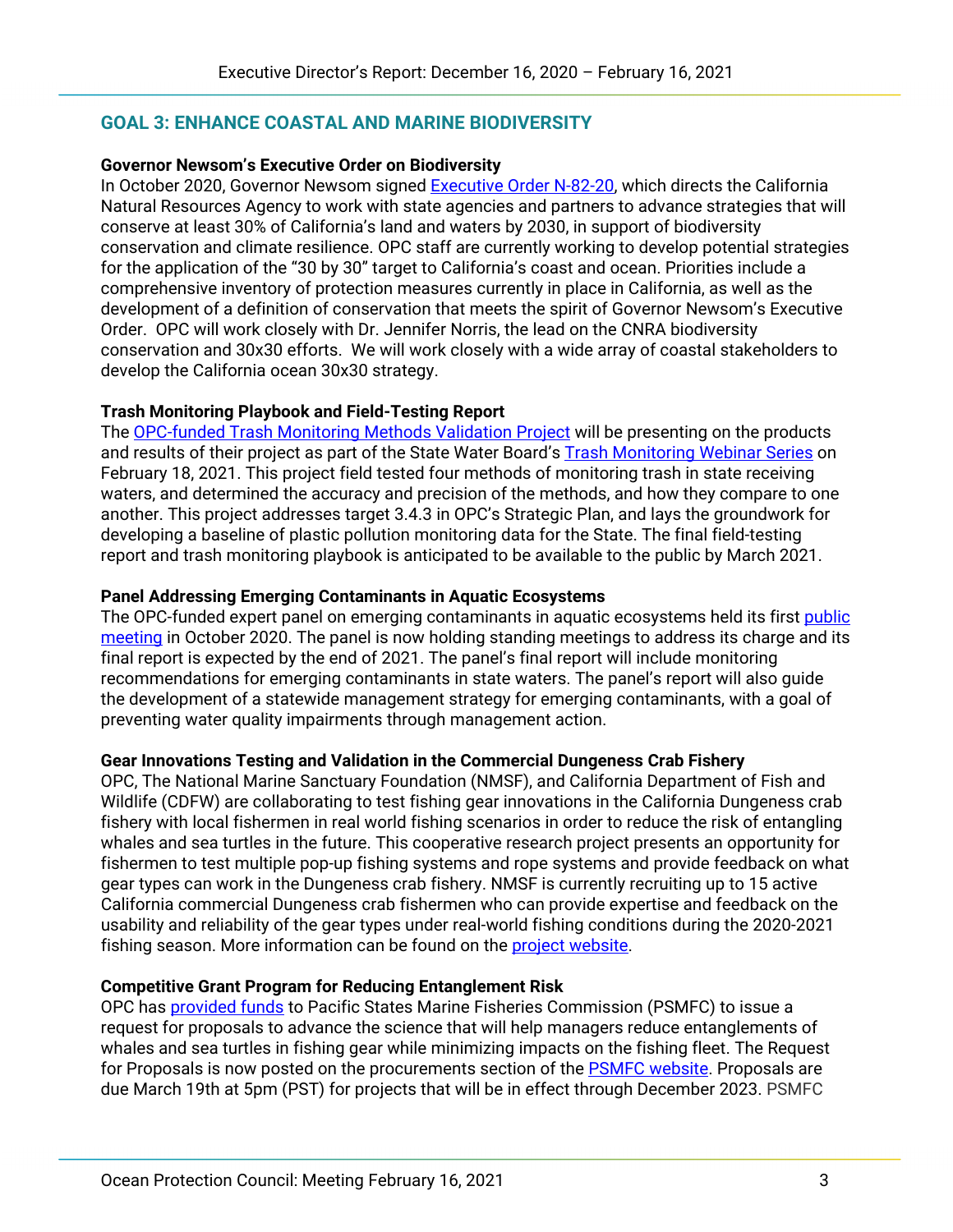## **GOAL 3: ENHANCE COASTAL AND MARINE BIODIVERSITY**

#### **Governor Newsom's Executive Order on Biodiversity**

In October 2020, Governor Newsom signed [Executive Order N-82-20,](https://www.gov.ca.gov/wp-content/uploads/2020/10/10.07.2020-EO-N-82-20-.pdf) which directs the California Natural Resources Agency to work with state agencies and partners to advance strategies that will conserve at least 30% of California's land and waters by 2030, in support of biodiversity conservation and climate resilience. OPC staff are currently working to develop potential strategies for the application of the "30 by 30" target to California's coast and ocean. Priorities include a comprehensive inventory of protection measures currently in place in California, as well as the development of a definition of conservation that meets the spirit of Governor Newsom's Executive Order. OPC will work closely with Dr. Jennifer Norris, the lead on the CNRA biodiversity conservation and 30x30 efforts. We will work closely with a wide array of coastal stakeholders to develop the California ocean 30x30 strategy.

#### **Trash Monitoring Playbook and Field-Testing Report**

The [OPC-funded Trash Monitoring Methods Validation Project](https://opc.ca.gov/webmaster/ftp/pdf/agenda_items/20170426/Item5_Prop84PollutionStaffRec.pdf) will be presenting on the products and results of their project as part of the State Water Board's [Trash Monitoring Webinar Series](https://mywaterquality.ca.gov/monitoring_council/collaboration_network/docs/2021/tmws-2021-fullagenda.pdf) on February 18, 2021. This project field tested four methods of monitoring trash in state receiving waters, and determined the accuracy and precision of the methods, and how they compare to one another. This project addresses target 3.4.3 in OPC's Strategic Plan, and lays the groundwork for developing a baseline of plastic pollution monitoring data for the State. The final field-testing report and trash monitoring playbook is anticipated to be available to the public by March 2021.

#### **Panel Addressing Emerging Contaminants in Aquatic Ecosystems**

The OPC-funded expert panel on emerging contaminants in aquatic ecosystems held its first [public](https://www.sccwrp.org/about/research-areas/emerging-contaminants/cec-ecosystems-panel/)  [meeting](https://www.sccwrp.org/about/research-areas/emerging-contaminants/cec-ecosystems-panel/) in October 2020. The panel is now holding standing meetings to address its charge and its final report is expected by the end of 2021. The panel's final report will include monitoring recommendations for emerging contaminants in state waters. The panel's report will also guide the development of a statewide management strategy for emerging contaminants, with a goal of preventing water quality impairments through management action.

#### **Gear Innovations Testing and Validation in the Commercial Dungeness Crab Fishery**

OPC, The National Marine Sanctuary Foundation (NMSF), and California Department of Fish and Wildlife (CDFW) are collaborating to test fishing gear innovations in the California Dungeness crab fishery with local fishermen in real world fishing scenarios in order to reduce the risk of entangling whales and sea turtles in the future. This cooperative research project presents an opportunity for fishermen to test multiple pop-up fishing systems and rope systems and provide feedback on what gear types can work in the Dungeness crab fishery. NMSF is currently recruiting up to 15 active California commercial Dungeness crab fishermen who can provide expertise and feedback on the usability and reliability of the gear types under real-world fishing conditions during the 2020-2021 fishing season. More information can be found on the **project website**.

#### **Competitive Grant Program for Reducing Entanglement Risk**

OPC has [provided funds](https://opc.ca.gov/webmaster/ftp/pdf/agenda_items/20200619/Item7_Reducing_the_Risk_of_Entanglement_in_Fishing_Gear_Staff_Recommendation_June_19_2020.pdf) to Pacific States Marine Fisheries Commission (PSMFC) to issue a request for proposals to advance the science that will help managers reduce entanglements of whales and sea turtles in fishing gear while minimizing impacts on the fishing fleet. The Request for Proposals is now posted on the procurements section of the **PSMFC website**. Proposals are due March 19th at 5pm (PST) for projects that will be in effect through December 2023. PSMFC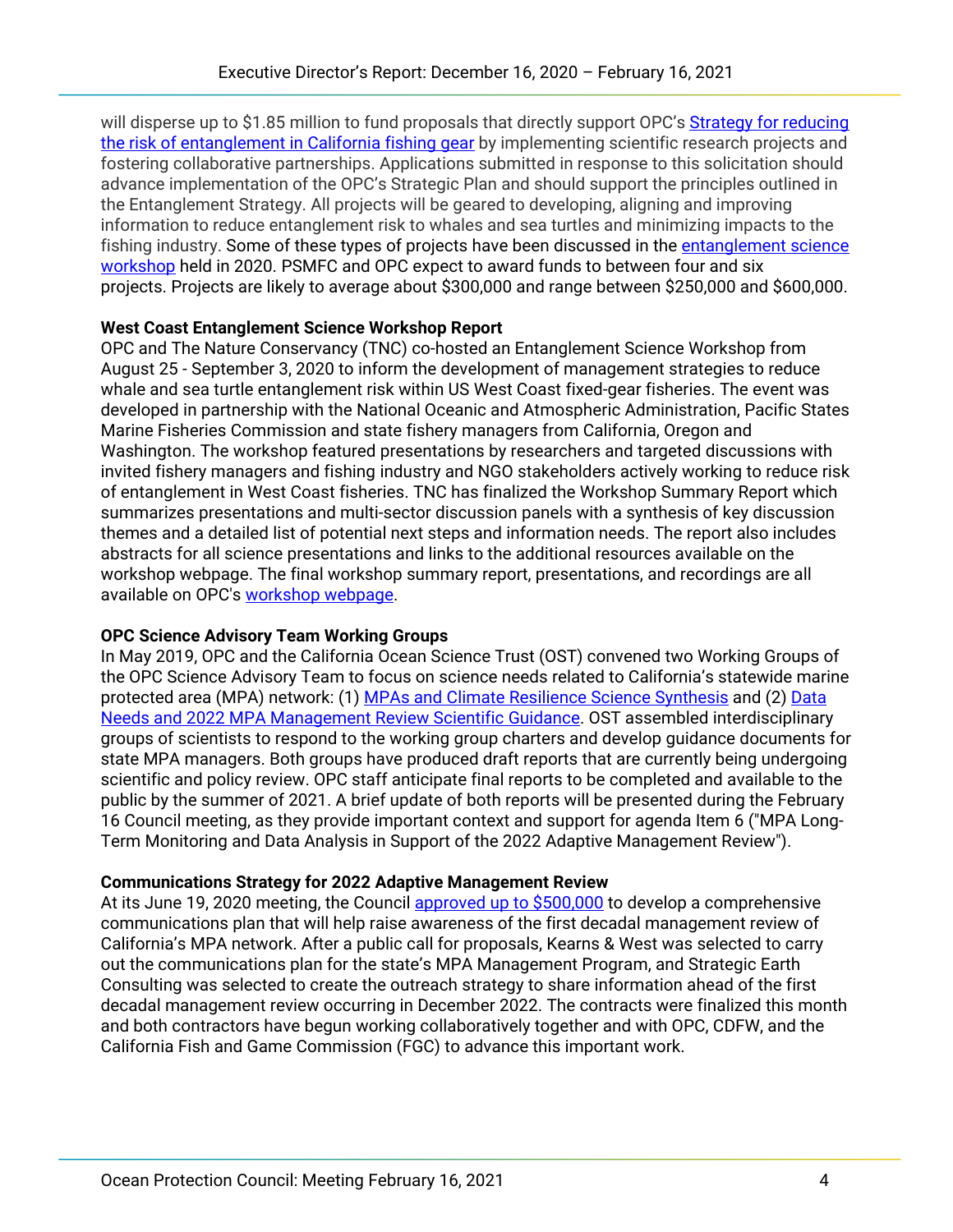will disperse up to \$1.85 million to fund proposals that directly support OPC's Strategy for reducing [the risk of entanglement in California fishing gear](http://www.opc.ca.gov/webmaster/_media_library/2020/01/Strategy_Reducing-the-Risk-of-Entanglement-in-California-Fishing-Gear_OPC-2019.pdf) by implementing scientific research projects and fostering collaborative partnerships. Applications submitted in response to this solicitation should advance implementation of the OPC's Strategic Plan and should support the principles outlined in the Entanglement Strategy. All projects will be geared to developing, aligning and improving information to reduce entanglement risk to whales and sea turtles and minimizing impacts to the fishing industry. Some of these types of projects have been discussed in the [entanglement science](https://www.opc.ca.gov/west-coast-entanglement-science-workshop/)  [workshop](https://www.opc.ca.gov/west-coast-entanglement-science-workshop/) held in 2020. PSMFC and OPC expect to award funds to between four and six projects. Projects are likely to average about \$300,000 and range between \$250,000 and \$600,000.

## **West Coast Entanglement Science Workshop Report**

OPC and The Nature Conservancy (TNC) co-hosted an Entanglement Science Workshop from August 25 - September 3, 2020 to inform the development of management strategies to reduce whale and sea turtle entanglement risk within US West Coast fixed-gear fisheries. The event was developed in partnership with the National Oceanic and Atmospheric Administration, Pacific States Marine Fisheries Commission and state fishery managers from California, Oregon and Washington. The workshop featured presentations by researchers and targeted discussions with invited fishery managers and fishing industry and NGO stakeholders actively working to reduce risk of entanglement in West Coast fisheries. TNC has finalized the Workshop Summary Report which summarizes presentations and multi-sector discussion panels with a synthesis of key discussion themes and a detailed list of potential next steps and information needs. The report also includes abstracts for all science presentations and links to the additional resources available on the workshop webpage. The final workshop summary report, presentations, and recordings are all available on OPC's [workshop webpage.](https://www.opc.ca.gov/west-coast-entanglement-science-workshop/)

## **OPC Science Advisory Team Working Groups**

In May 2019, OPC and the California Ocean Science Trust (OST) convened two Working Groups of the OPC Science Advisory Team to focus on science needs related to California's statewide marine protected area (MPA) network: (1) [MPAs and Climate Resilience Science Synthesis](https://www.oceansciencetrust.org/projects/climatempas/) and (2) [Data](https://www.oceansciencetrust.org/projects/mpa2022review/)  [Needs and 2022 MPA Management Review Scientific Guidance.](https://www.oceansciencetrust.org/projects/mpa2022review/) OST assembled interdisciplinary groups of scientists to respond to the working group charters and develop guidance documents for state MPA managers. Both groups have produced draft reports that are currently being undergoing scientific and policy review. OPC staff anticipate final reports to be completed and available to the public by the summer of 2021. A brief update of both reports will be presented during the February 16 Council meeting, as they provide important context and support for agenda Item 6 ("MPA Long-Term Monitoring and Data Analysis in Support of the 2022 Adaptive Management Review").

## **Communications Strategy for 2022 Adaptive Management Review**

At its June 19, 2020 meeting, the Council [approved up to \\$500,000](https://opc.ca.gov/webmaster/ftp/pdf/agenda_items/20200619/Item6b_MPAcommunications_FINAL.pdf) to develop a comprehensive communications plan that will help raise awareness of the first decadal management review of California's MPA network. After a public call for proposals, Kearns & West was selected to carry out the communications plan for the state's MPA Management Program, and Strategic Earth Consulting was selected to create the outreach strategy to share information ahead of the first decadal management review occurring in December 2022. The contracts were finalized this month and both contractors have begun working collaboratively together and with OPC, CDFW, and the California Fish and Game Commission (FGC) to advance this important work.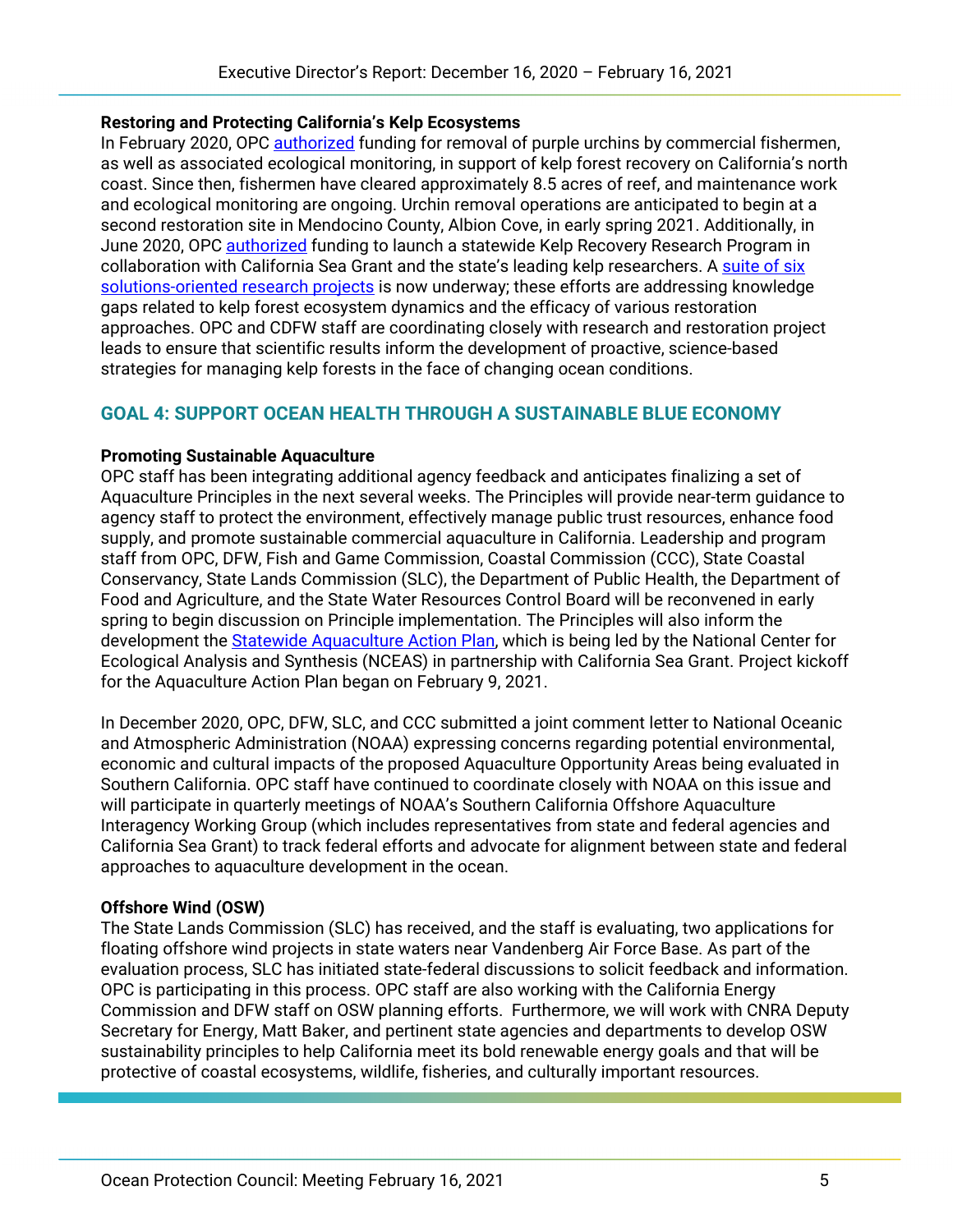#### **Restoring and Protecting California's Kelp Ecosystems**

In February 2020, OPC [authorized](https://www.opc.ca.gov/webmaster/ftp/pdf/agenda_items/20200226/Item%205_Kelp-Staff-Recommendation-Final.pdf) funding for removal of purple urchins by commercial fishermen, as well as associated ecological monitoring, in support of kelp forest recovery on California's north coast. Since then, fishermen have cleared approximately 8.5 acres of reef, and maintenance work and ecological monitoring are ongoing. Urchin removal operations are anticipated to begin at a second restoration site in Mendocino County, Albion Cove, in early spring 2021. Additionally, in June 2020, OPC [authorized](https://opc.ca.gov/webmaster/ftp/pdf/agenda_items/20200619/Item8_KelpRecoveryResearchProgram_FINAL.pdf) funding to launch a statewide Kelp Recovery Research Program in collaboration with California Sea Grant and the state's leading kelp researchers. A suite of six [solutions-oriented research projects](https://opc.ca.gov/webmaster/ftp/pdf/agenda_items/20200619/Item8_KelpRecoveryResearchProgram_ADDENDUM.pdf) is now underway; these efforts are addressing knowledge gaps related to kelp forest ecosystem dynamics and the efficacy of various restoration approaches. OPC and CDFW staff are coordinating closely with research and restoration project leads to ensure that scientific results inform the development of proactive, science-based strategies for managing kelp forests in the face of changing ocean conditions.

## **GOAL 4: SUPPORT OCEAN HEALTH THROUGH A SUSTAINABLE BLUE ECONOMY**

#### **Promoting Sustainable Aquaculture**

OPC staff has been integrating additional agency feedback and anticipates finalizing a set of Aquaculture Principles in the next several weeks. The Principles will provide near-term guidance to agency staff to protect the environment, effectively manage public trust resources, enhance food supply, and promote sustainable commercial aquaculture in California. Leadership and program staff from OPC, DFW, Fish and Game Commission, Coastal Commission (CCC), State Coastal Conservancy, State Lands Commission (SLC), the Department of Public Health, the Department of Food and Agriculture, and the State Water Resources Control Board will be reconvened in early spring to begin discussion on Principle implementation. The Principles will also inform the development the [Statewide Aquaculture Action Plan,](https://www.opc.ca.gov/webmaster/ftp/pdf/agenda_items/20200917/Item5_Statewide-Aquaculture-Action-Plan-Staff-Recommendation-September-2020.pdf) which is being led by the National Center for Ecological Analysis and Synthesis (NCEAS) in partnership with California Sea Grant. Project kickoff for the Aquaculture Action Plan began on February 9, 2021.

In December 2020, OPC, DFW, SLC, and CCC submitted a joint comment letter to National Oceanic and Atmospheric Administration (NOAA) expressing concerns regarding potential environmental, economic and cultural impacts of the proposed Aquaculture Opportunity Areas being evaluated in Southern California. OPC staff have continued to coordinate closely with NOAA on this issue and will participate in quarterly meetings of NOAA's Southern California Offshore Aquaculture Interagency Working Group (which includes representatives from state and federal agencies and California Sea Grant) to track federal efforts and advocate for alignment between state and federal approaches to aquaculture development in the ocean.

#### **Offshore Wind (OSW)**

The State Lands Commission (SLC) has received, and the staff is evaluating, two applications for floating offshore wind projects in state waters near Vandenberg Air Force Base. As part of the evaluation process, SLC has initiated state-federal discussions to solicit feedback and information. OPC is participating in this process. OPC staff are also working with the California Energy Commission and DFW staff on OSW planning efforts. Furthermore, we will work with CNRA Deputy Secretary for Energy, Matt Baker, and pertinent state agencies and departments to develop OSW sustainability principles to help California meet its bold renewable energy goals and that will be protective of coastal ecosystems, wildlife, fisheries, and culturally important resources.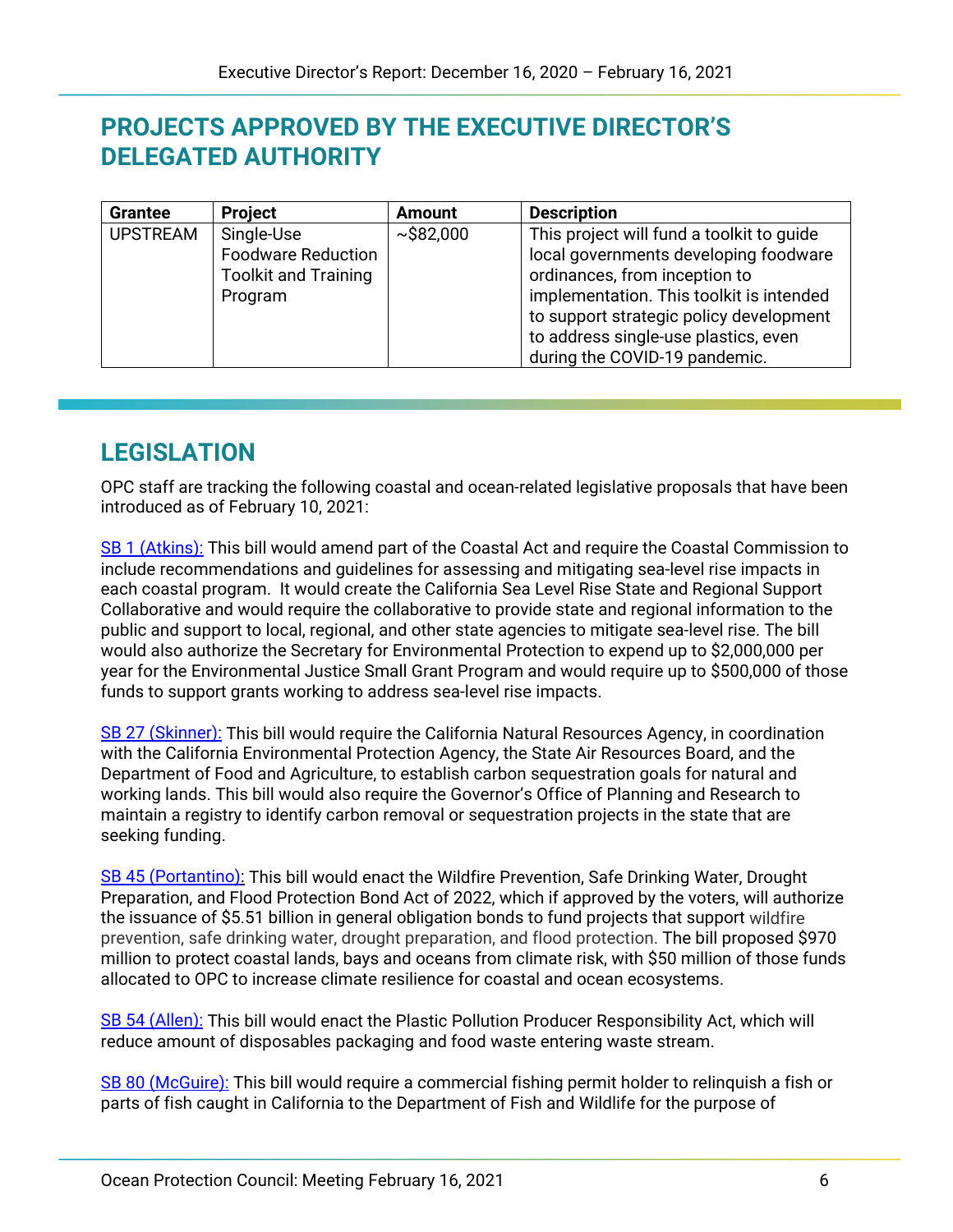# **PROJECTS APPROVED BY THE EXECUTIVE DIRECTOR'S DELEGATED AUTHORITY**

| <b>Grantee</b>  | <b>Project</b>              | <b>Amount</b> | <b>Description</b>                        |
|-----------------|-----------------------------|---------------|-------------------------------------------|
| <b>UPSTREAM</b> | Single-Use                  | ~1.582,000    | This project will fund a toolkit to guide |
|                 | <b>Foodware Reduction</b>   |               | local governments developing foodware     |
|                 | <b>Toolkit and Training</b> |               | ordinances, from inception to             |
|                 | Program                     |               | implementation. This toolkit is intended  |
|                 |                             |               | to support strategic policy development   |
|                 |                             |               | to address single-use plastics, even      |
|                 |                             |               | during the COVID-19 pandemic.             |

# **LEGISLATION**

OPC staff are tracking the following coastal and ocean-related legislative proposals that have been introduced as of February 10, 2021:

[SB 1 \(Atkins\):](https://leginfo.legislature.ca.gov/faces/billNavClient.xhtml?bill_id=202120220SB1) This bill would amend part of the Coastal Act and require the Coastal Commission to include recommendations and guidelines for assessing and mitigating sea-level rise impacts in each coastal program. It would create the California Sea Level Rise State and Regional Support Collaborative and would require the collaborative to provide state and regional information to the public and support to local, regional, and other state agencies to mitigate sea-level rise. The bill would also authorize the Secretary for Environmental Protection to expend up to \$2,000,000 per year for the Environmental Justice Small Grant Program and would require up to \$500,000 of those funds to support grants working to address sea-level rise impacts.

[SB 27 \(Skinner\):](https://leginfo.legislature.ca.gov/faces/billNavClient.xhtml?bill_id=202120220SB27) This bill would require the California Natural Resources Agency, in coordination with the California Environmental Protection Agency, the State Air Resources Board, and the Department of Food and Agriculture, to establish carbon sequestration goals for natural and working lands. This bill would also require the Governor's Office of Planning and Research to maintain a registry to identify carbon removal or sequestration projects in the state that are seeking funding.

[SB 45 \(Portantino\):](https://leginfo.legislature.ca.gov/faces/billNavClient.xhtml?bill_id=202120220SB45) This bill would enact the Wildfire Prevention, Safe Drinking Water, Drought Preparation, and Flood Protection Bond Act of 2022, which if approved by the voters, will authorize the issuance of \$5.51 billion in general obligation bonds to fund projects that support wildfire prevention, safe drinking water, drought preparation, and flood protection. The bill proposed \$970 million to protect coastal lands, bays and oceans from climate risk, with \$50 million of those funds allocated to OPC to increase climate resilience for coastal and ocean ecosystems.

[SB 54 \(Allen\):](https://leginfo.legislature.ca.gov/faces/billNavClient.xhtml?bill_id=202120220SB54) This bill would enact the Plastic Pollution Producer Responsibility Act, which will reduce amount of disposables packaging and food waste entering waste stream.

[SB 80 \(McGuire\):](https://leginfo.legislature.ca.gov/faces/billNavClient.xhtml?bill_id=202120220SB80) This bill would require a commercial fishing permit holder to relinquish a fish or parts of fish caught in California to the Department of Fish and Wildlife for the purpose of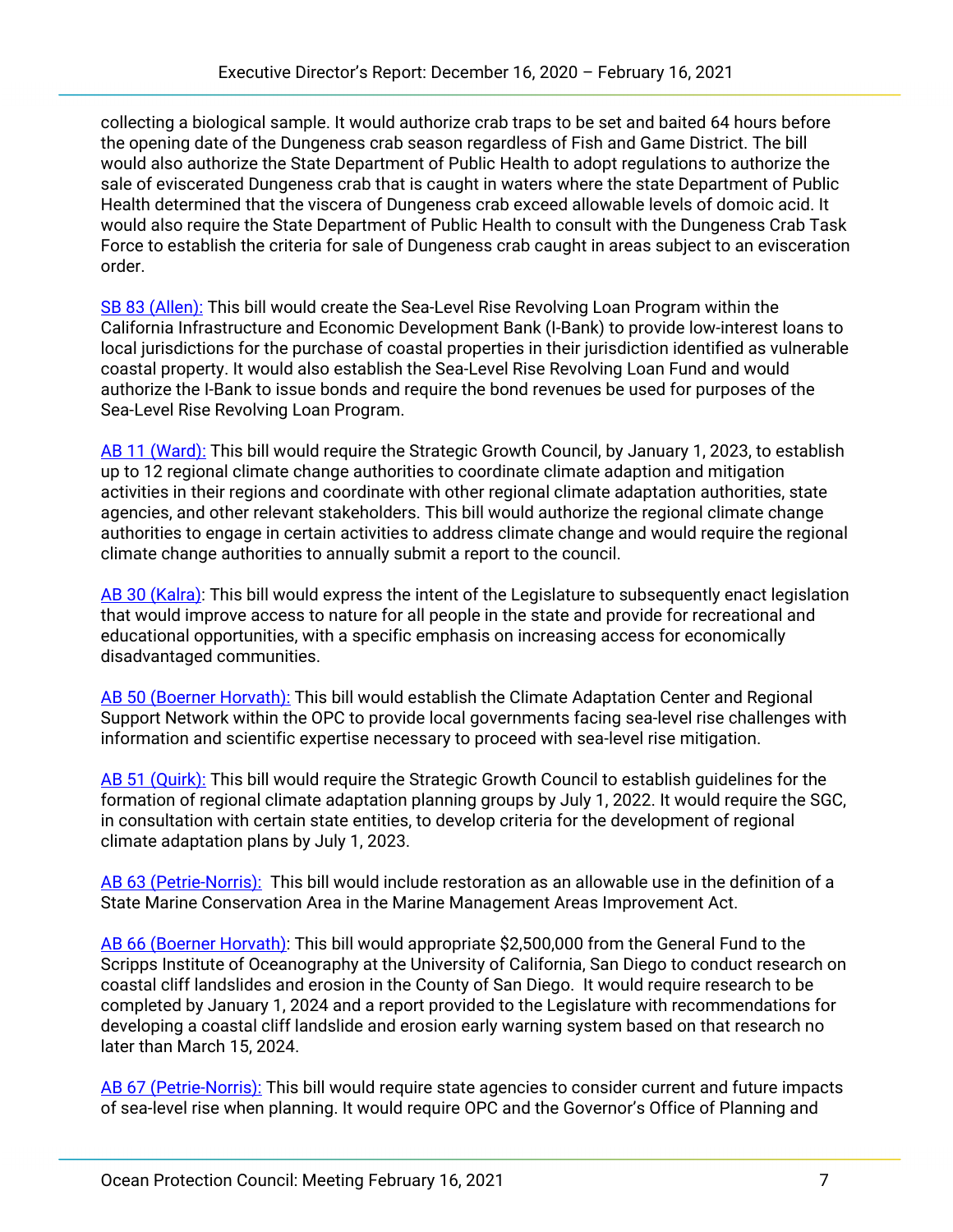collecting a biological sample. It would authorize crab traps to be set and baited 64 hours before the opening date of the Dungeness crab season regardless of Fish and Game District. The bill would also authorize the State Department of Public Health to adopt regulations to authorize the sale of eviscerated Dungeness crab that is caught in waters where the state Department of Public Health determined that the viscera of Dungeness crab exceed allowable levels of domoic acid. It would also require the State Department of Public Health to consult with the Dungeness Crab Task Force to establish the criteria for sale of Dungeness crab caught in areas subject to an evisceration order.

[SB 83 \(Allen\):](https://leginfo.legislature.ca.gov/faces/billNavClient.xhtml?bill_id=202120220SB83) This bill would create the Sea-Level Rise Revolving Loan Program within the California Infrastructure and Economic Development Bank (I-Bank) to provide low-interest loans to local jurisdictions for the purchase of coastal properties in their jurisdiction identified as vulnerable coastal property. It would also establish the Sea-Level Rise Revolving Loan Fund and would authorize the I-Bank to issue bonds and require the bond revenues be used for purposes of the Sea-Level Rise Revolving Loan Program.

[AB 11 \(Ward\):](https://leginfo.legislature.ca.gov/faces/billNavClient.xhtml?bill_id=202120220AB11) This bill would require the Strategic Growth Council, by January 1, 2023, to establish up to 12 regional climate change authorities to coordinate climate adaption and mitigation activities in their regions and coordinate with other regional climate adaptation authorities, state agencies, and other relevant stakeholders. This bill would authorize the regional climate change authorities to engage in certain activities to address climate change and would require the regional climate change authorities to annually submit a report to the council.

[AB 30 \(Kalra\):](https://leginfo.legislature.ca.gov/faces/billNavClient.xhtml?bill_id=202120220AB30) This bill would express the intent of the Legislature to subsequently enact legislation that would improve access to nature for all people in the state and provide for recreational and educational opportunities, with a specific emphasis on increasing access for economically disadvantaged communities.

[AB 50 \(Boerner Horvath\):](https://leginfo.legislature.ca.gov/faces/billNavClient.xhtml?bill_id=202120220AB50) This bill would establish the Climate Adaptation Center and Regional Support Network within the OPC to provide local governments facing sea-level rise challenges with information and scientific expertise necessary to proceed with sea-level rise mitigation.

[AB 51 \(Quirk\):](https://leginfo.legislature.ca.gov/faces/billNavClient.xhtml?bill_id=202120220AB51) This bill would require the Strategic Growth Council to establish guidelines for the formation of regional climate adaptation planning groups by July 1, 2022. It would require the SGC, in consultation with certain state entities, to develop criteria for the development of regional climate adaptation plans by July 1, 2023.

[AB 63 \(Petrie-Norris\):](https://leginfo.legislature.ca.gov/faces/billNavClient.xhtml?bill_id=202120220AB63) This bill would include restoration as an allowable use in the definition of a State Marine Conservation Area in the Marine Management Areas Improvement Act.

[AB 66 \(Boerner Horvath\):](https://leginfo.legislature.ca.gov/faces/billNavClient.xhtml?bill_id=202120220AB66) This bill would appropriate \$2,500,000 from the General Fund to the Scripps Institute of Oceanography at the University of California, San Diego to conduct research on coastal cliff landslides and erosion in the County of San Diego. It would require research to be completed by January 1, 2024 and a report provided to the Legislature with recommendations for developing a coastal cliff landslide and erosion early warning system based on that research no later than March 15, 2024.

[AB 67 \(Petrie-Norris\):](https://leginfo.legislature.ca.gov/faces/billNavClient.xhtml?bill_id=202120220AB67) This bill would require state agencies to consider current and future impacts of sea-level rise when planning. It would require OPC and the Governor's Office of Planning and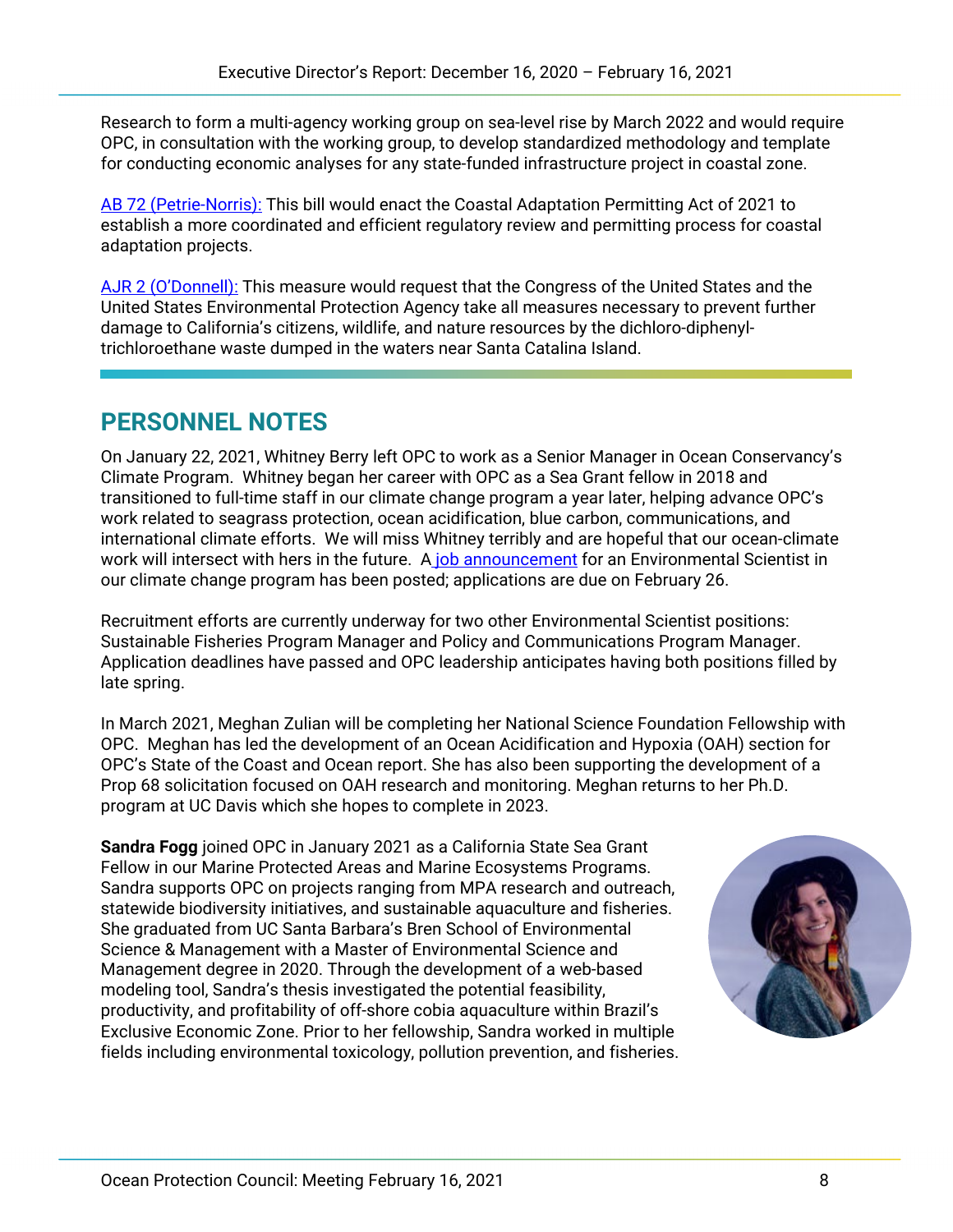Research to form a multi-agency working group on sea-level rise by March 2022 and would require OPC, in consultation with the working group, to develop standardized methodology and template for conducting economic analyses for any state-funded infrastructure project in coastal zone.

[AB 72 \(Petrie-Norris\):](https://leginfo.legislature.ca.gov/faces/billNavClient.xhtml?bill_id=202120220AB72) This bill would enact the Coastal Adaptation Permitting Act of 2021 to establish a more coordinated and efficient regulatory review and permitting process for coastal adaptation projects.

[AJR 2 \(O'Donnell\):](https://leginfo.legislature.ca.gov/faces/billNavClient.xhtml?bill_id=202120220AJR2) This measure would request that the Congress of the United States and the United States Environmental Protection Agency take all measures necessary to prevent further damage to California's citizens, wildlife, and nature resources by the dichloro-diphenyltrichloroethane waste dumped in the waters near Santa Catalina Island.

# **PERSONNEL NOTES**

On January 22, 2021, Whitney Berry left OPC to work as a Senior Manager in Ocean Conservancy's Climate Program. Whitney began her career with OPC as a Sea Grant fellow in 2018 and transitioned to full-time staff in our climate change program a year later, helping advance OPC's work related to seagrass protection, ocean acidification, blue carbon, communications, and international climate efforts. We will miss Whitney terribly and are hopeful that our ocean-climate work will intersect with hers in the future. A [job announcement](https://www.opc.ca.gov/2021/02/opc-is-hiring-a-climate-change-program-manager/) for an Environmental Scientist in our climate change program has been posted; applications are due on February 26.

Recruitment efforts are currently underway for two other Environmental Scientist positions: Sustainable Fisheries Program Manager and Policy and Communications Program Manager. Application deadlines have passed and OPC leadership anticipates having both positions filled by late spring.

In March 2021, Meghan Zulian will be completing her National Science Foundation Fellowship with OPC. Meghan has led the development of an Ocean Acidification and Hypoxia (OAH) section for OPC's State of the Coast and Ocean report. She has also been supporting the development of a Prop 68 solicitation focused on OAH research and monitoring. Meghan returns to her Ph.D. program at UC Davis which she hopes to complete in 2023.

**Sandra Fogg** joined OPC in January 2021 as a California State Sea Grant Fellow in our Marine Protected Areas and Marine Ecosystems Programs. Sandra supports OPC on projects ranging from MPA research and outreach, statewide biodiversity initiatives, and sustainable aquaculture and fisheries. She graduated from UC Santa Barbara's Bren School of Environmental Science & Management with a Master of Environmental Science and Management degree in 2020. Through the development of a web-based modeling tool, Sandra's thesis investigated the potential feasibility, productivity, and profitability of off-shore cobia aquaculture within Brazil's Exclusive Economic Zone. Prior to her fellowship, Sandra worked in multiple fields including environmental toxicology, pollution prevention, and fisheries.

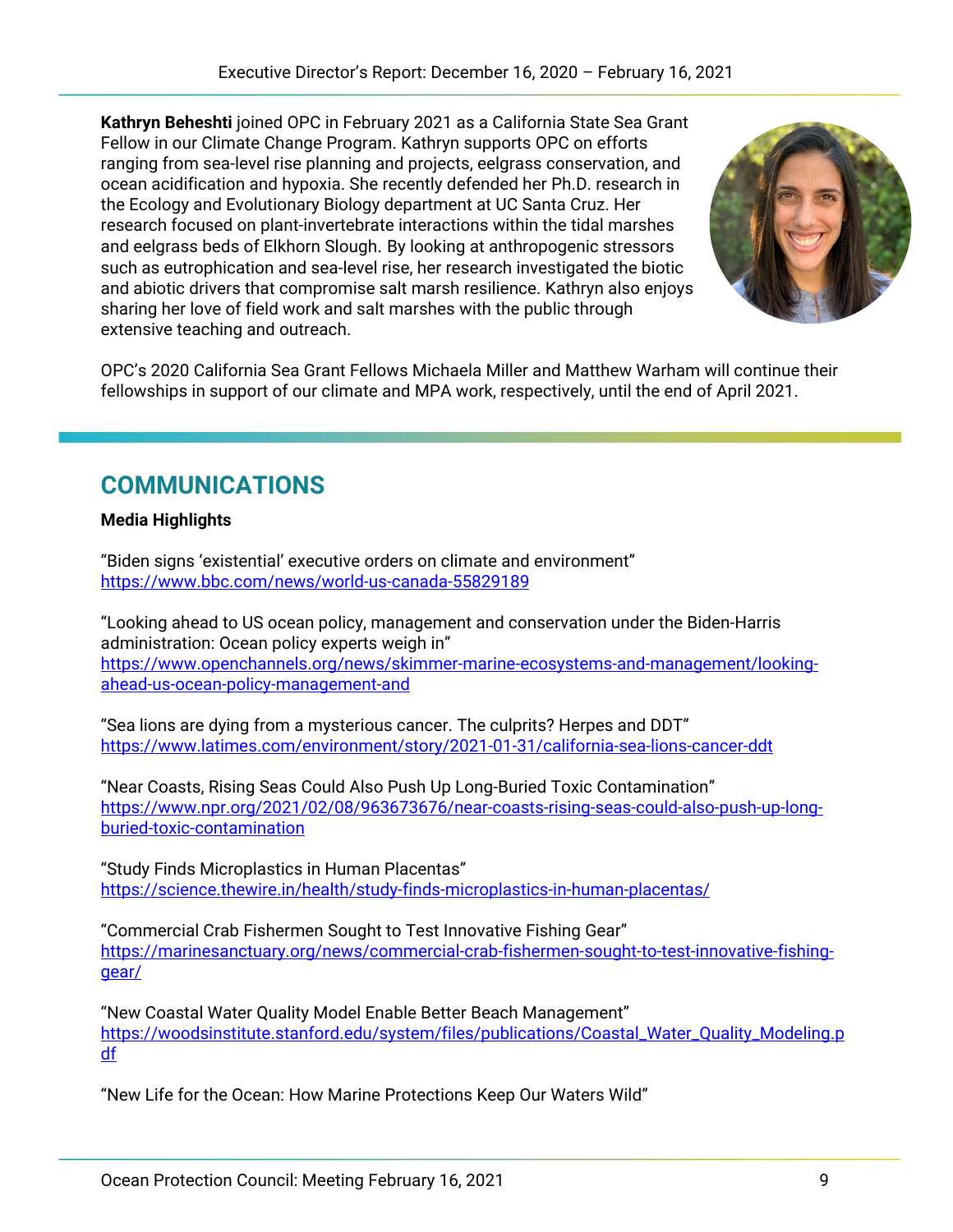**Kathryn Beheshti** joined OPC in February 2021 as a California State Sea Grant Fellow in our Climate Change Program. Kathryn supports OPC on efforts ranging from sea-level rise planning and projects, eelgrass conservation, and ocean acidification and hypoxia. She recently defended her Ph.D. research in the Ecology and Evolutionary Biology department at UC Santa Cruz. Her research focused on plant-invertebrate interactions within the tidal marshes and eelgrass beds of Elkhorn Slough. By looking at anthropogenic stressors such as eutrophication and sea-level rise, her research investigated the biotic and abiotic drivers that compromise salt marsh resilience. Kathryn also enjoys sharing her love of field work and salt marshes with the public through extensive teaching and outreach.



OPC's 2020 California Sea Grant Fellows Michaela Miller and Matthew Warham will continue their fellowships in support of our climate and MPA work, respectively, until the end of April 2021.

# **COMMUNICATIONS**

## **Media Highlights**

"Biden signs 'existential' executive orders on climate and environment" <https://www.bbc.com/news/world-us-canada-55829189>

"Looking ahead to US ocean policy, management and conservation under the Biden-Harris administration: Ocean policy experts weigh in" [https://www.openchannels.org/news/skimmer-marine-ecosystems-and-management/looking](https://www.openchannels.org/news/skimmer-marine-ecosystems-and-management/looking-ahead-us-ocean-policy-management-and)[ahead-us-ocean-policy-management-and](https://www.openchannels.org/news/skimmer-marine-ecosystems-and-management/looking-ahead-us-ocean-policy-management-and)

"Sea lions are dying from a mysterious cancer. The culprits? Herpes and DDT" <https://www.latimes.com/environment/story/2021-01-31/california-sea-lions-cancer-ddt>

"Near Coasts, Rising Seas Could Also Push Up Long-Buried Toxic Contamination" [https://www.npr.org/2021/02/08/963673676/near-coasts-rising-seas-could-also-push-up-long](https://www.npr.org/2021/02/08/963673676/near-coasts-rising-seas-could-also-push-up-long-buried-toxic-contamination)[buried-toxic-contamination](https://www.npr.org/2021/02/08/963673676/near-coasts-rising-seas-could-also-push-up-long-buried-toxic-contamination)

"Study Finds Microplastics in Human Placentas" <https://science.thewire.in/health/study-finds-microplastics-in-human-placentas/>

"Commercial Crab Fishermen Sought to Test Innovative Fishing Gear" [https://marinesanctuary.org/news/commercial-crab-fishermen-sought-to-test-innovative-fishing](https://marinesanctuary.org/news/commercial-crab-fishermen-sought-to-test-innovative-fishing-gear/)[gear/](https://marinesanctuary.org/news/commercial-crab-fishermen-sought-to-test-innovative-fishing-gear/)

"New Coastal Water Quality Model Enable Better Beach Management" [https://woodsinstitute.stanford.edu/system/files/publications/Coastal\\_Water\\_Quality\\_Modeling.p](https://woodsinstitute.stanford.edu/system/files/publications/Coastal_Water_Quality_Modeling.pdf) [df](https://woodsinstitute.stanford.edu/system/files/publications/Coastal_Water_Quality_Modeling.pdf)

"New Life for the Ocean: How Marine Protections Keep Our Waters Wild"